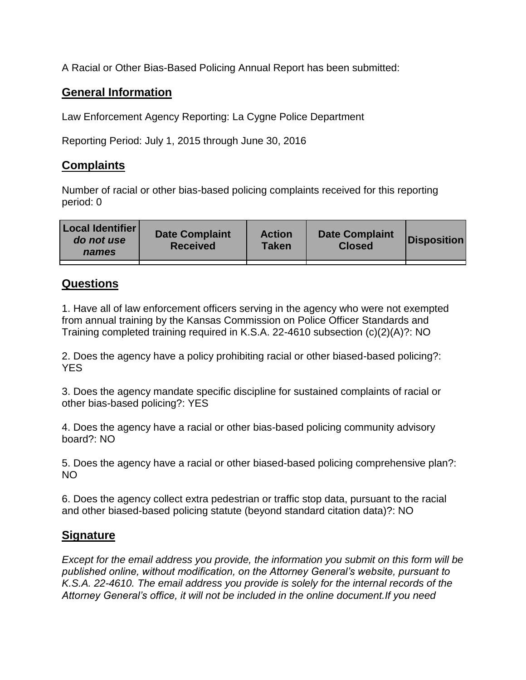A Racial or Other Bias-Based Policing Annual Report has been submitted:

## **General Information**

Law Enforcement Agency Reporting: La Cygne Police Department

Reporting Period: July 1, 2015 through June 30, 2016

## **Complaints**

Number of racial or other bias-based policing complaints received for this reporting period: 0

| <b>Local Identifier</b><br>do not use<br>names | <b>Date Complaint</b><br><b>Received</b> | <b>Action</b><br><b>Taken</b> | <b>Date Complaint</b><br><b>Closed</b> | Disposition |
|------------------------------------------------|------------------------------------------|-------------------------------|----------------------------------------|-------------|
|                                                |                                          |                               |                                        |             |

## **Questions**

1. Have all of law enforcement officers serving in the agency who were not exempted from annual training by the Kansas Commission on Police Officer Standards and Training completed training required in K.S.A. 22-4610 subsection (c)(2)(A)?: NO

2. Does the agency have a policy prohibiting racial or other biased-based policing?: YES

3. Does the agency mandate specific discipline for sustained complaints of racial or other bias-based policing?: YES

4. Does the agency have a racial or other bias-based policing community advisory board?: NO

5. Does the agency have a racial or other biased-based policing comprehensive plan?: NO

6. Does the agency collect extra pedestrian or traffic stop data, pursuant to the racial and other biased-based policing statute (beyond standard citation data)?: NO

## **Signature**

*Except for the email address you provide, the information you submit on this form will be published online, without modification, on the Attorney General's website, pursuant to K.S.A. 22-4610. The email address you provide is solely for the internal records of the Attorney General's office, it will not be included in the online document.If you need*